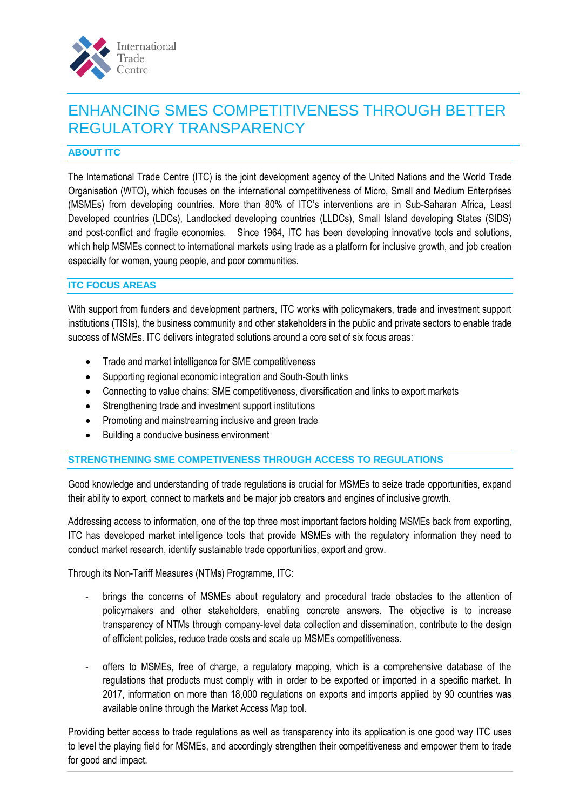

## ENHANCING SMES COMPETITIVENESS THROUGH BETTER REGULATORY TRANSPARENCY

## **ABOUT ITC**

The International Trade Centre (ITC) is the joint development agency of the United Nations and the World Trade Organisation (WTO), which focuses on the international competitiveness of Micro, Small and Medium Enterprises (MSMEs) from developing countries. More than 80% of ITC's interventions are in Sub-Saharan Africa, Least Developed countries (LDCs), Landlocked developing countries (LLDCs), Small Island developing States (SIDS) and post-conflict and fragile economies. Since 1964, ITC has been developing innovative tools and solutions, which help MSMEs connect to international markets using trade as a platform for inclusive growth, and job creation especially for women, young people, and poor communities.

## **ITC FOCUS AREAS**

With support from funders and development partners, ITC works with policymakers, trade and investment support institutions (TISIs), the business community and other stakeholders in the public and private sectors to enable trade success of MSMEs. ITC delivers integrated solutions around a core set of six focus areas:

- Trade and market intelligence for SME competitiveness
- Supporting regional economic integration and South-South links
- Connecting to value chains: SME competitiveness, diversification and links to export markets
- Strengthening trade and investment support institutions
- Promoting and mainstreaming inclusive and green trade
- Building a conducive business environment

## **STRENGTHENING SME COMPETIVENESS THROUGH ACCESS TO REGULATIONS**

Good knowledge and understanding of trade regulations is crucial for MSMEs to seize trade opportunities, expand their ability to export, connect to markets and be major job creators and engines of inclusive growth.

Addressing access to information, one of the top three most important factors holding MSMEs back from exporting, ITC has developed market intelligence tools that provide MSMEs with the regulatory information they need to conduct market research, identify sustainable trade opportunities, export and grow.

Through its Non-Tariff Measures (NTMs) Programme, ITC:

- brings the concerns of MSMEs about regulatory and procedural trade obstacles to the attention of policymakers and other stakeholders, enabling concrete answers. The objective is to increase transparency of NTMs through company-level data collection and dissemination, contribute to the design of efficient policies, reduce trade costs and scale up MSMEs competitiveness.
- offers to MSMEs, free of charge, a regulatory mapping, which is a comprehensive database of the regulations that products must comply with in order to be exported or imported in a specific market. In 2017, information on more than 18,000 regulations on exports and imports applied by 90 countries was available online through the Market Access Map tool.

Providing better access to trade regulations as well as transparency into its application is one good way ITC uses to level the playing field for MSMEs, and accordingly strengthen their competitiveness and empower them to trade for good and impact.